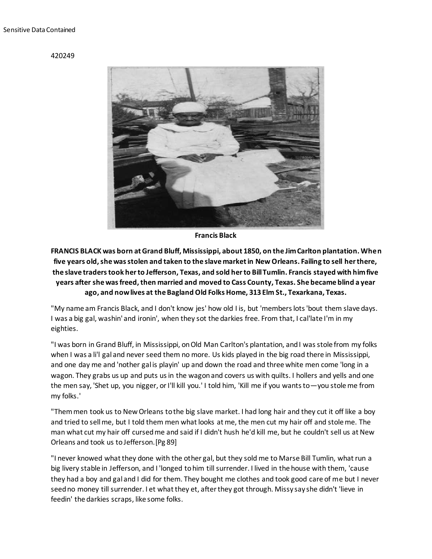## 420249



**Francis Black**

**FRANCIS BLACK was born at Grand Bluff, Mississippi, about 1850, on the Jim Carlton plantation. When five years old, she was stolen and taken to the slave market in New Orleans. Failing to sell her there, the slave traders took her to Jefferson, Texas, and sold her to Bill Tumlin. Francis stayed with him five years after she was freed, then married and moved to Cass County, Texas. She became blind a year ago, and now lives at the Bagland Old Folks Home, 313 Elm St., Texarkana, Texas.**

"My name am Francis Black, and I don't know jes' how old I is, but 'members lots 'bout them slave days. I was a big gal, washin' and ironin', when they sot the darkies free. From that, I cal'late I'm in my eighties.

"I was born in Grand Bluff, in Mississippi, on Old Man Carlton's plantation, and I was stole from my folks when I was a li'l gal and never seed them no more. Us kids played in the big road there in Mississippi, and one day me and 'nother gal is playin' up and down the road and three white men come 'long in a wagon. They grabs us up and puts us in the wagon and covers us with quilts. I hollers and yells and one the men say, 'Shet up, you nigger, or I'll kill you.' I told him, 'Kill me if you wants to—you stole me from my folks.'

"Them men took us to New Orleans to the big slave market. I had long hair and they cut it off like a boy and tried to sell me, but I told them men what looks at me, the men cut my hair off and stole me. The man what cut my hair off cursed me and said if I didn't hush he'd kill me, but he couldn't sell us at New Orleans and took us to Jefferson.[Pg 89]

"I never knowed what they done with the other gal, but they sold me to Marse Bill Tumlin, what run a big livery stable in Jefferson, and I 'longed to him till surrender. I lived in the house with them, 'cause they had a boy and gal and I did for them. They bought me clothes and took good care of me but I never seed no money till surrender. I et what they et, after they got through. Missy say she didn't 'lieve in feedin' the darkies scraps, like some folks.